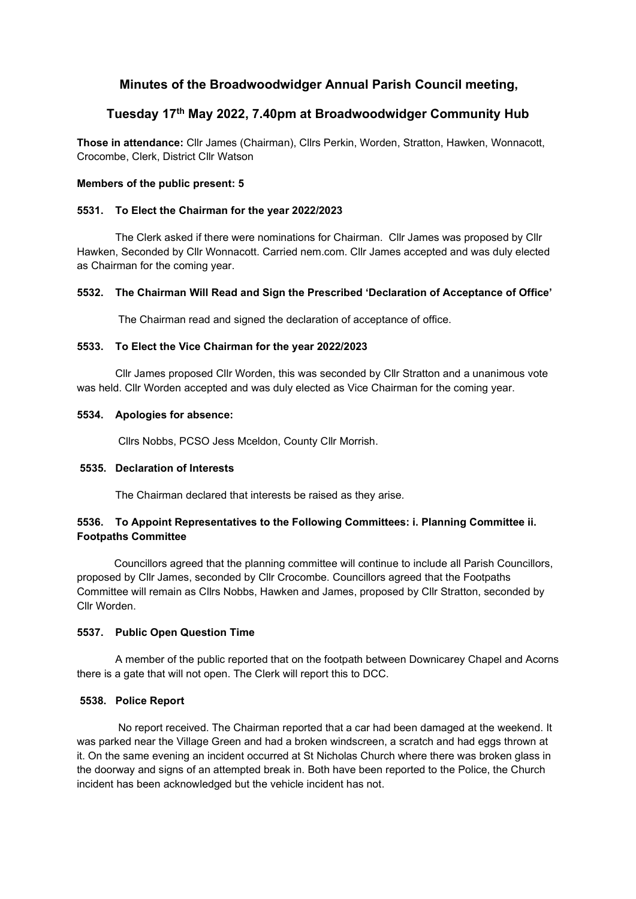# Minutes of the Broadwoodwidger Annual Parish Council meeting,

# Tuesday 17th May 2022, 7.40pm at Broadwoodwidger Community Hub

Those in attendance: Cllr James (Chairman), Cllrs Perkin, Worden, Stratton, Hawken, Wonnacott, Crocombe, Clerk, District Cllr Watson

## Members of the public present: 5

## 5531. To Elect the Chairman for the year 2022/2023

The Clerk asked if there were nominations for Chairman. Cllr James was proposed by Cllr Hawken, Seconded by Cllr Wonnacott. Carried nem.com. Cllr James accepted and was duly elected as Chairman for the coming year.

# 5532. The Chairman Will Read and Sign the Prescribed 'Declaration of Acceptance of Office'

The Chairman read and signed the declaration of acceptance of office.

## 5533. To Elect the Vice Chairman for the year 2022/2023

Cllr James proposed Cllr Worden, this was seconded by Cllr Stratton and a unanimous vote was held. Cllr Worden accepted and was duly elected as Vice Chairman for the coming year.

## 5534. Apologies for absence:

Cllrs Nobbs, PCSO Jess Mceldon, County Cllr Morrish.

## 5535. Declaration of Interests

The Chairman declared that interests be raised as they arise.

# 5536. To Appoint Representatives to the Following Committees: i. Planning Committee ii. Footpaths Committee

Councillors agreed that the planning committee will continue to include all Parish Councillors, proposed by Cllr James, seconded by Cllr Crocombe. Councillors agreed that the Footpaths Committee will remain as Cllrs Nobbs, Hawken and James, proposed by Cllr Stratton, seconded by Cllr Worden.

# 5537. Public Open Question Time

 A member of the public reported that on the footpath between Downicarey Chapel and Acorns there is a gate that will not open. The Clerk will report this to DCC.

# 5538. Police Report

 No report received. The Chairman reported that a car had been damaged at the weekend. It was parked near the Village Green and had a broken windscreen, a scratch and had eggs thrown at it. On the same evening an incident occurred at St Nicholas Church where there was broken glass in the doorway and signs of an attempted break in. Both have been reported to the Police, the Church incident has been acknowledged but the vehicle incident has not.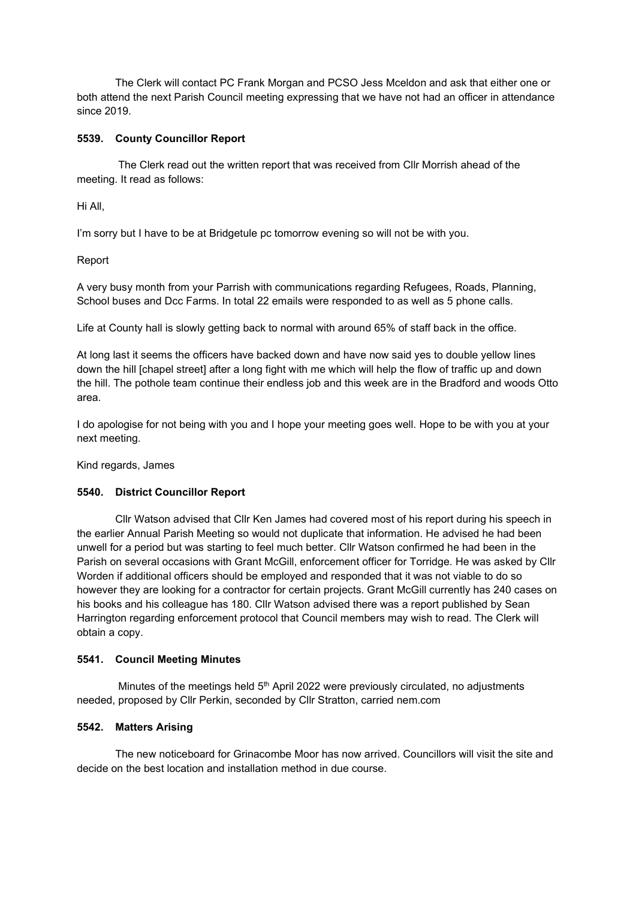The Clerk will contact PC Frank Morgan and PCSO Jess Mceldon and ask that either one or both attend the next Parish Council meeting expressing that we have not had an officer in attendance since 2019.

## 5539. County Councillor Report

 The Clerk read out the written report that was received from Cllr Morrish ahead of the meeting. It read as follows:

Hi All,

I'm sorry but I have to be at Bridgetule pc tomorrow evening so will not be with you.

Report

A very busy month from your Parrish with communications regarding Refugees, Roads, Planning, School buses and Dcc Farms. In total 22 emails were responded to as well as 5 phone calls.

Life at County hall is slowly getting back to normal with around 65% of staff back in the office.

At long last it seems the officers have backed down and have now said yes to double yellow lines down the hill [chapel street] after a long fight with me which will help the flow of traffic up and down the hill. The pothole team continue their endless job and this week are in the Bradford and woods Otto area.

I do apologise for not being with you and I hope your meeting goes well. Hope to be with you at your next meeting.

Kind regards, James

#### 5540. District Councillor Report

 Cllr Watson advised that Cllr Ken James had covered most of his report during his speech in the earlier Annual Parish Meeting so would not duplicate that information. He advised he had been unwell for a period but was starting to feel much better. Cllr Watson confirmed he had been in the Parish on several occasions with Grant McGill, enforcement officer for Torridge. He was asked by Cllr Worden if additional officers should be employed and responded that it was not viable to do so however they are looking for a contractor for certain projects. Grant McGill currently has 240 cases on his books and his colleague has 180. Cllr Watson advised there was a report published by Sean Harrington regarding enforcement protocol that Council members may wish to read. The Clerk will obtain a copy.

#### 5541. Council Meeting Minutes

Minutes of the meetings held  $5<sup>th</sup>$  April 2022 were previously circulated, no adjustments needed, proposed by Cllr Perkin, seconded by Cllr Stratton, carried nem.com

# 5542. Matters Arising

 The new noticeboard for Grinacombe Moor has now arrived. Councillors will visit the site and decide on the best location and installation method in due course.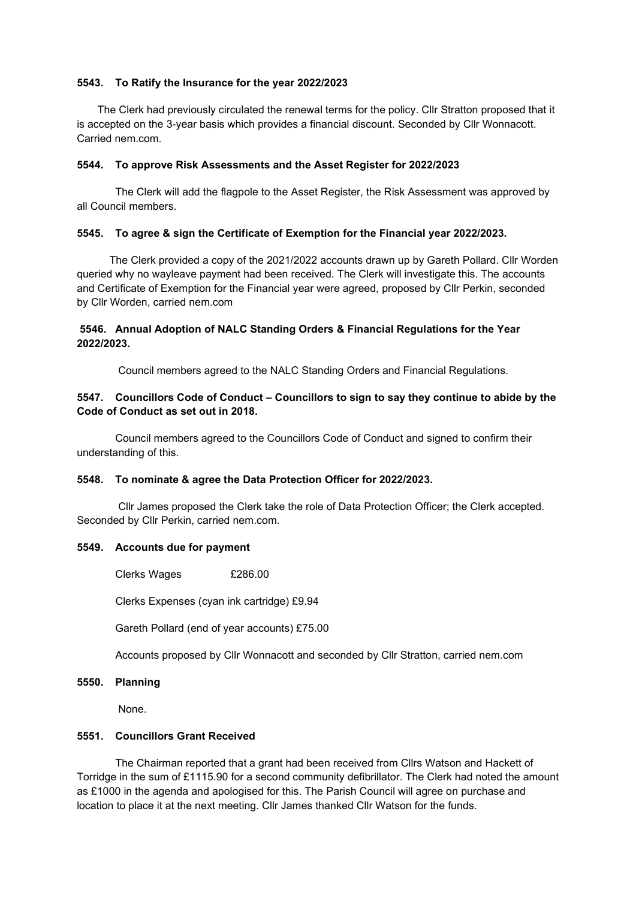## 5543. To Ratify the Insurance for the year 2022/2023

 The Clerk had previously circulated the renewal terms for the policy. Cllr Stratton proposed that it is accepted on the 3-year basis which provides a financial discount. Seconded by Cllr Wonnacott. Carried nem.com.

#### 5544. To approve Risk Assessments and the Asset Register for 2022/2023

The Clerk will add the flagpole to the Asset Register, the Risk Assessment was approved by all Council members.

## 5545. To agree & sign the Certificate of Exemption for the Financial year 2022/2023.

 The Clerk provided a copy of the 2021/2022 accounts drawn up by Gareth Pollard. Cllr Worden queried why no wayleave payment had been received. The Clerk will investigate this. The accounts and Certificate of Exemption for the Financial year were agreed, proposed by Cllr Perkin, seconded by Cllr Worden, carried nem.com

# 5546. Annual Adoption of NALC Standing Orders & Financial Regulations for the Year 2022/2023.

Council members agreed to the NALC Standing Orders and Financial Regulations.

# 5547. Councillors Code of Conduct – Councillors to sign to say they continue to abide by the Code of Conduct as set out in 2018.

Council members agreed to the Councillors Code of Conduct and signed to confirm their understanding of this.

#### 5548. To nominate & agree the Data Protection Officer for 2022/2023.

 Cllr James proposed the Clerk take the role of Data Protection Officer; the Clerk accepted. Seconded by Cllr Perkin, carried nem.com.

#### 5549. Accounts due for payment

Clerks Wages £286.00

Clerks Expenses (cyan ink cartridge) £9.94

Gareth Pollard (end of year accounts) £75.00

Accounts proposed by Cllr Wonnacott and seconded by Cllr Stratton, carried nem.com

#### 5550. Planning

None.

## 5551. Councillors Grant Received

The Chairman reported that a grant had been received from Cllrs Watson and Hackett of Torridge in the sum of £1115.90 for a second community defibrillator. The Clerk had noted the amount as £1000 in the agenda and apologised for this. The Parish Council will agree on purchase and location to place it at the next meeting. Cllr James thanked Cllr Watson for the funds.